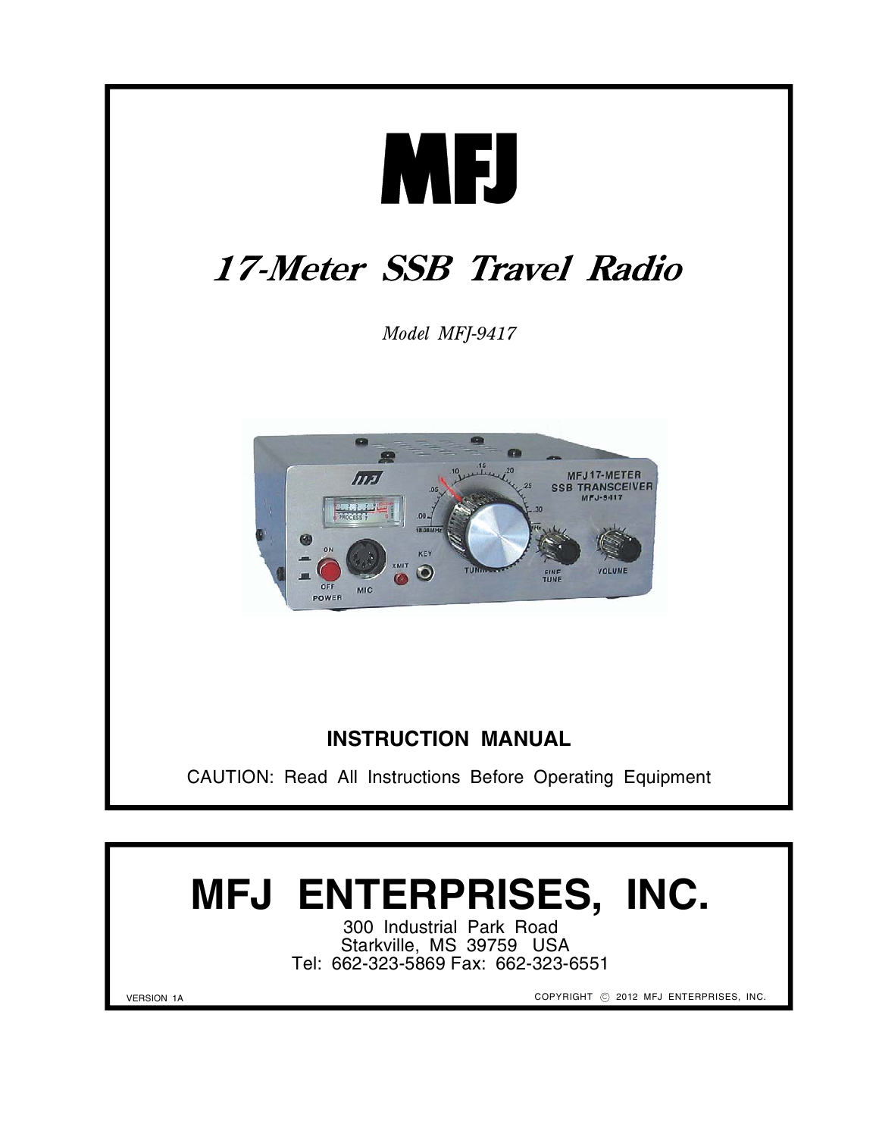

# **MFJ ENTERPRISES, INC.**

300 Industrial Park Road Starkville, MS 39759 USA Tel: 662-323-5869 Fax: 662-323-6551

COPYRIGHT © 2012 MFJ ENTERPRISES, INC.

VERSION 1A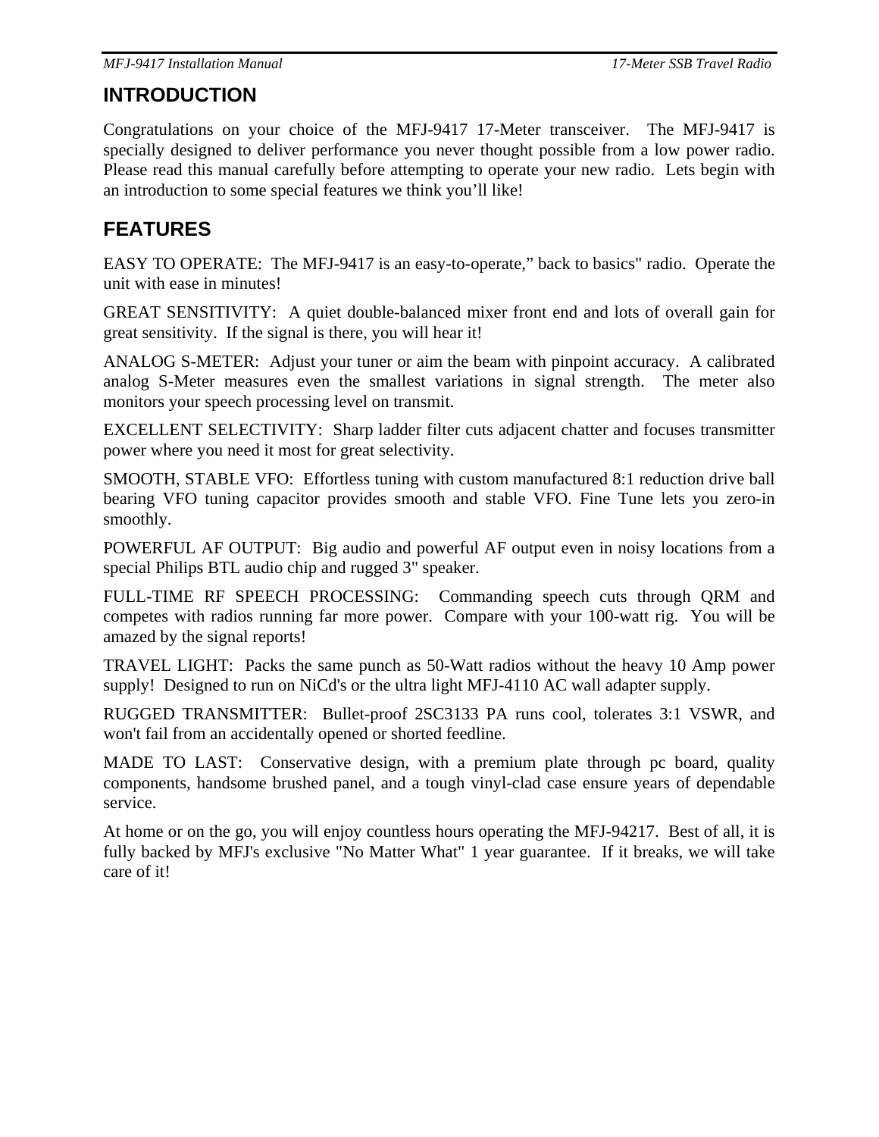### **INTRODUCTION**

Congratulations on your choice of the MFJ-9417 17-Meter transceiver. The MFJ-9417 is specially designed to deliver performance you never thought possible from a low power radio. Please read this manual carefully before attempting to operate your new radio. Lets begin with an introduction to some special features we think you'll like!

### **FEATURES**

EASY TO OPERATE: The MFJ-9417 is an easy-to-operate," back to basics" radio. Operate the unit with ease in minutes!

GREAT SENSITIVITY: A quiet double-balanced mixer front end and lots of overall gain for great sensitivity. If the signal is there, you will hear it!

ANALOG S-METER: Adjust your tuner or aim the beam with pinpoint accuracy. A calibrated analog S-Meter measures even the smallest variations in signal strength. The meter also monitors your speech processing level on transmit.

EXCELLENT SELECTIVITY: Sharp ladder filter cuts adjacent chatter and focuses transmitter power where you need it most for great selectivity.

SMOOTH, STABLE VFO: Effortless tuning with custom manufactured 8:1 reduction drive ball bearing VFO tuning capacitor provides smooth and stable VFO. Fine Tune lets you zero-in smoothly.

POWERFUL AF OUTPUT: Big audio and powerful AF output even in noisy locations from a special Philips BTL audio chip and rugged 3" speaker.

FULL-TIME RF SPEECH PROCESSING: Commanding speech cuts through QRM and competes with radios running far more power. Compare with your 100-watt rig. You will be amazed by the signal reports!

TRAVEL LIGHT: Packs the same punch as 50-Watt radios without the heavy 10 Amp power supply! Designed to run on NiCd's or the ultra light MFJ-4110 AC wall adapter supply.

RUGGED TRANSMITTER: Bullet-proof 2SC3133 PA runs cool, tolerates 3:1 VSWR, and won't fail from an accidentally opened or shorted feedline.

MADE TO LAST: Conservative design, with a premium plate through pc board, quality components, handsome brushed panel, and a tough vinyl-clad case ensure years of dependable service.

At home or on the go, you will enjoy countless hours operating the MFJ-94217. Best of all, it is fully backed by MFJ's exclusive "No Matter What" 1 year guarantee. If it breaks, we will take care of it!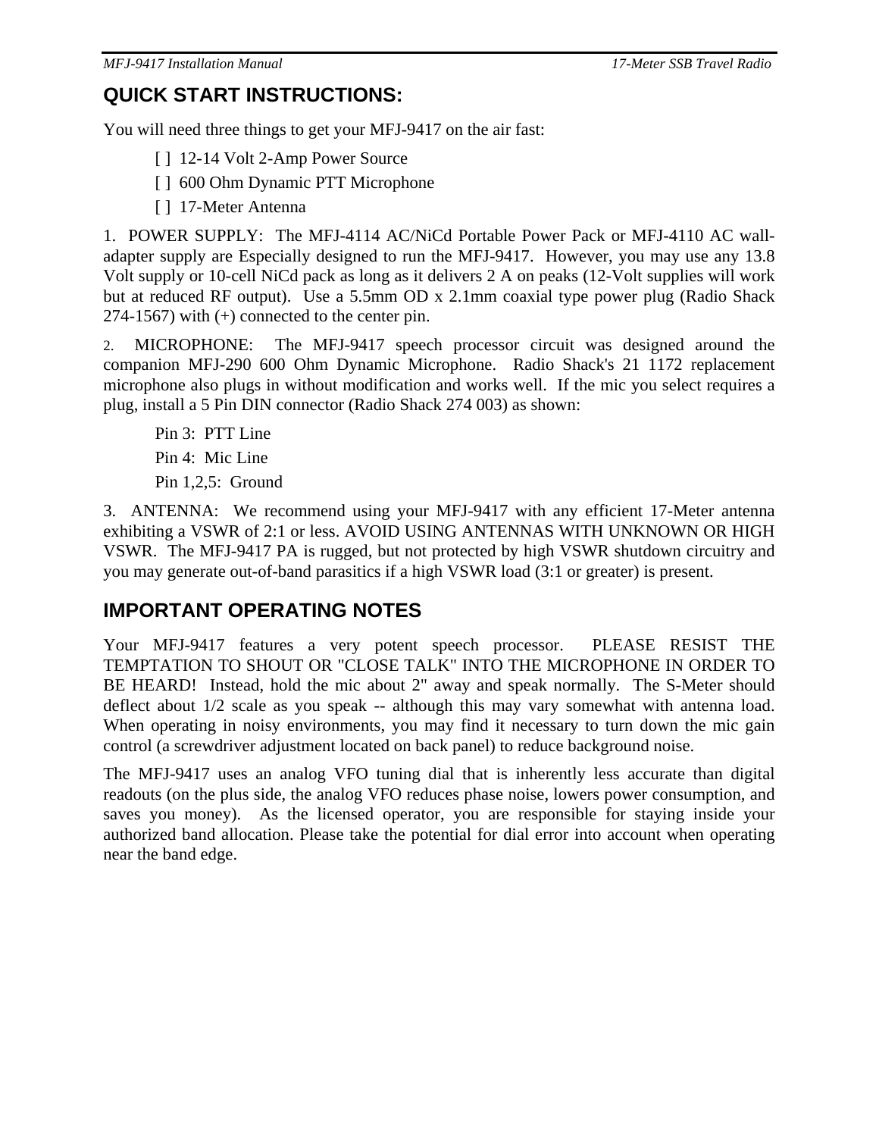### **QUICK START INSTRUCTIONS:**

You will need three things to get your MFJ-9417 on the air fast:

- [] 12-14 Volt 2-Amp Power Source
- [ ] 600 Ohm Dynamic PTT Microphone
- [ ] 17-Meter Antenna

1. POWER SUPPLY: The MFJ-4114 AC/NiCd Portable Power Pack or MFJ-4110 AC walladapter supply are Especially designed to run the MFJ-9417. However, you may use any 13.8 Volt supply or 10-cell NiCd pack as long as it delivers 2 A on peaks (12-Volt supplies will work but at reduced RF output). Use a 5.5mm OD x 2.1mm coaxial type power plug (Radio Shack 274-1567) with (+) connected to the center pin.

2. MICROPHONE: The MFJ-9417 speech processor circuit was designed around the companion MFJ-290 600 Ohm Dynamic Microphone. Radio Shack's 21 1172 replacement microphone also plugs in without modification and works well. If the mic you select requires a plug, install a 5 Pin DIN connector (Radio Shack 274 003) as shown:

Pin 3: PTT Line Pin 4: Mic Line Pin 1,2,5: Ground

3. ANTENNA: We recommend using your MFJ-9417 with any efficient 17-Meter antenna exhibiting a VSWR of 2:1 or less. AVOID USING ANTENNAS WITH UNKNOWN OR HIGH VSWR. The MFJ-9417 PA is rugged, but not protected by high VSWR shutdown circuitry and you may generate out-of-band parasitics if a high VSWR load (3:1 or greater) is present.

### **IMPORTANT OPERATING NOTES**

Your MFJ-9417 features a very potent speech processor. PLEASE RESIST THE TEMPTATION TO SHOUT OR "CLOSE TALK" INTO THE MICROPHONE IN ORDER TO BE HEARD! Instead, hold the mic about 2" away and speak normally. The S-Meter should deflect about 1/2 scale as you speak -- although this may vary somewhat with antenna load. When operating in noisy environments, you may find it necessary to turn down the mic gain control (a screwdriver adjustment located on back panel) to reduce background noise.

The MFJ-9417 uses an analog VFO tuning dial that is inherently less accurate than digital readouts (on the plus side, the analog VFO reduces phase noise, lowers power consumption, and saves you money). As the licensed operator, you are responsible for staying inside your authorized band allocation. Please take the potential for dial error into account when operating near the band edge.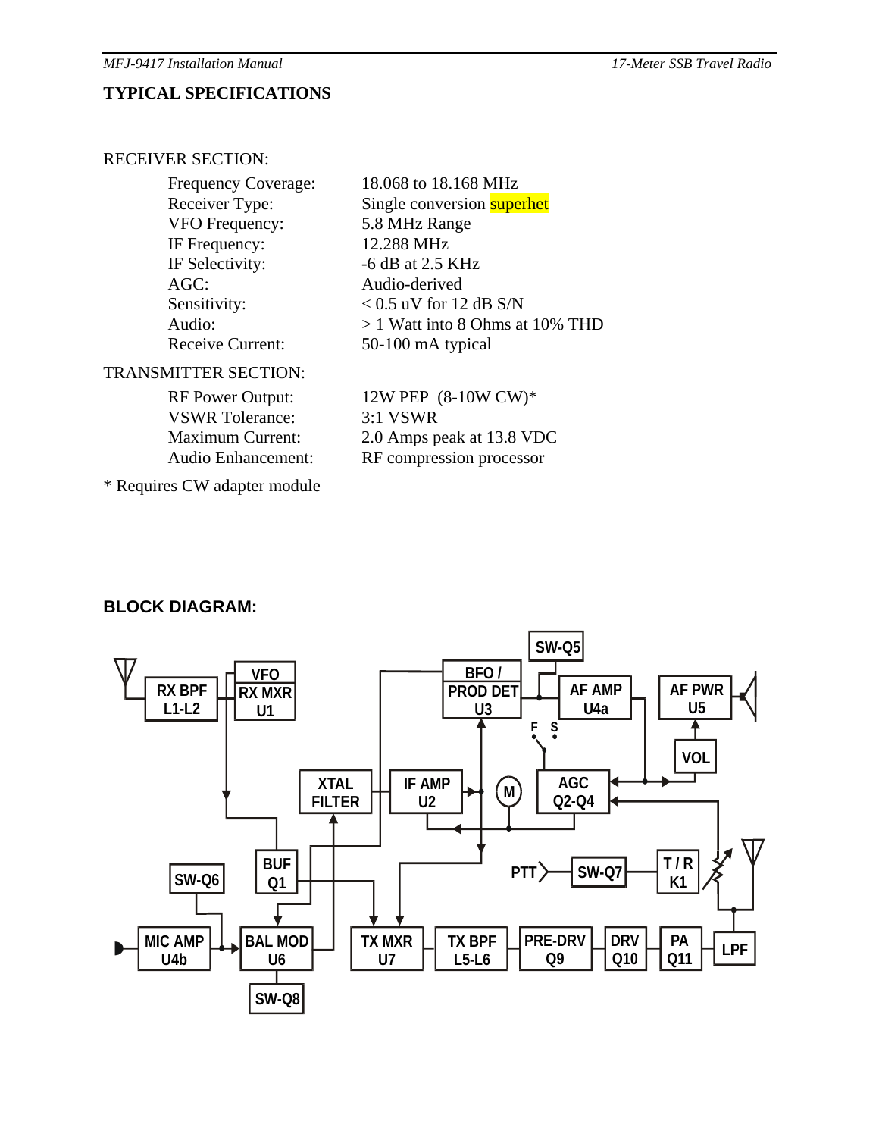#### **TYPICAL SPECIFICATIONS**

#### RECEIVER SECTION:

Frequency Coverage: 18.068 to 18.168 MHz VFO Frequency: 5.8 MHz Range IF Frequency: 12.288 MHz IF Selectivity:  $-6$  dB at 2.5 KHz AGC: Audio-derived Receive Current: 50-100 mA typical

Receiver Type: Single conversion superhet Sensitivity:  $< 0.5$  uV for 12 dB S/N Audio: > 1 Watt into 8 Ohms at 10% THD

#### TRANSMITTER SECTION:

\* Requires CW adapter module

VSWR Tolerance: 3:1 VSWR Audio Enhancement: RF compression processor

RF Power Output:  $12W$  PEP (8-10W CW)\* Maximum Current: 2.0 Amps peak at 13.8 VDC

#### **BLOCK DIAGRAM:**

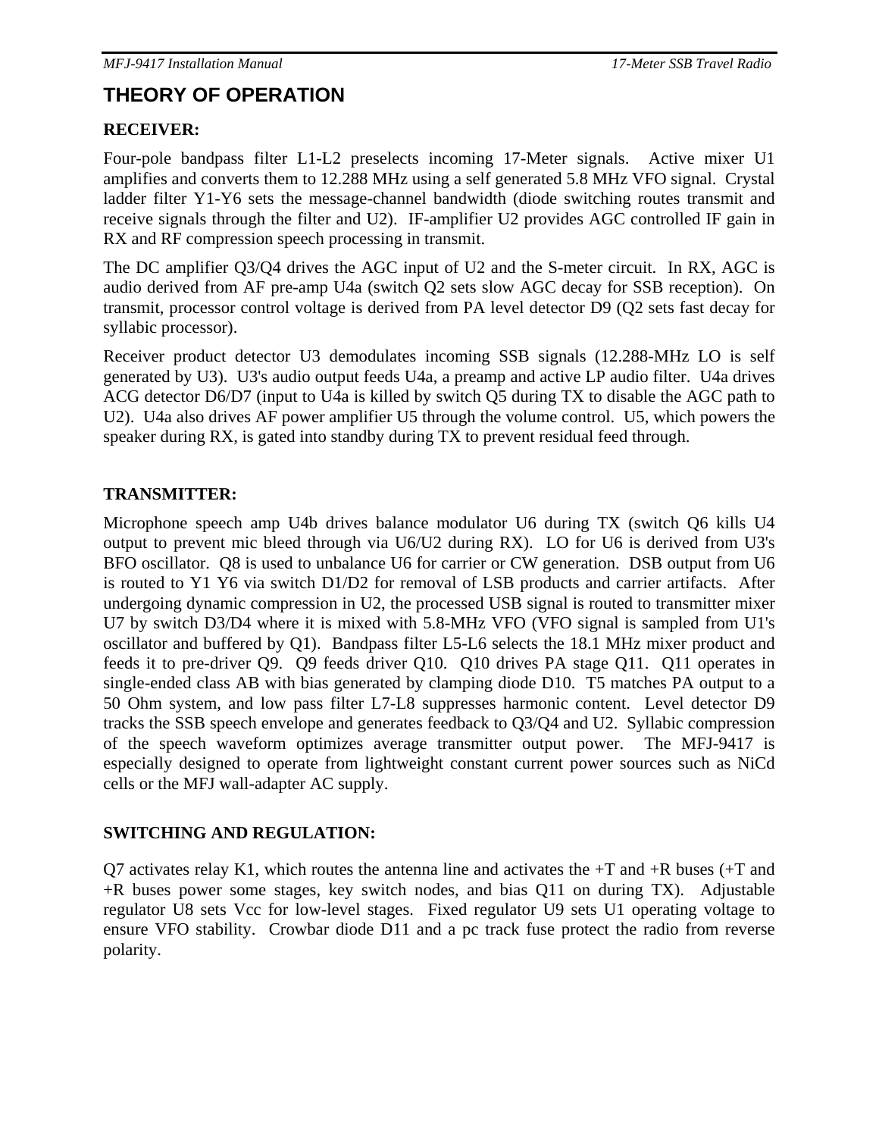### **THEORY OF OPERATION**

#### **RECEIVER:**

Four-pole bandpass filter L1-L2 preselects incoming 17-Meter signals. Active mixer U1 amplifies and converts them to 12.288 MHz using a self generated 5.8 MHz VFO signal. Crystal ladder filter Y1-Y6 sets the message-channel bandwidth (diode switching routes transmit and receive signals through the filter and U2). IF-amplifier U2 provides AGC controlled IF gain in RX and RF compression speech processing in transmit.

The DC amplifier Q3/Q4 drives the AGC input of U2 and the S-meter circuit. In RX, AGC is audio derived from AF pre-amp U4a (switch Q2 sets slow AGC decay for SSB reception). On transmit, processor control voltage is derived from PA level detector D9 (Q2 sets fast decay for syllabic processor).

Receiver product detector U3 demodulates incoming SSB signals (12.288-MHz LO is self generated by U3). U3's audio output feeds U4a, a preamp and active LP audio filter. U4a drives ACG detector D6/D7 (input to U4a is killed by switch Q5 during TX to disable the AGC path to U2). U4a also drives AF power amplifier U5 through the volume control. U5, which powers the speaker during RX, is gated into standby during TX to prevent residual feed through.

#### **TRANSMITTER:**

Microphone speech amp U4b drives balance modulator U6 during TX (switch Q6 kills U4 output to prevent mic bleed through via U6/U2 during RX). LO for U6 is derived from U3's BFO oscillator. Q8 is used to unbalance U6 for carrier or CW generation. DSB output from U6 is routed to Y1 Y6 via switch D1/D2 for removal of LSB products and carrier artifacts. After undergoing dynamic compression in U2, the processed USB signal is routed to transmitter mixer U7 by switch D3/D4 where it is mixed with 5.8-MHz VFO (VFO signal is sampled from U1's oscillator and buffered by Q1). Bandpass filter L5-L6 selects the 18.1 MHz mixer product and feeds it to pre-driver Q9. Q9 feeds driver Q10. Q10 drives PA stage Q11. Q11 operates in single-ended class AB with bias generated by clamping diode D10. T5 matches PA output to a 50 Ohm system, and low pass filter L7-L8 suppresses harmonic content. Level detector D9 tracks the SSB speech envelope and generates feedback to Q3/Q4 and U2. Syllabic compression of the speech waveform optimizes average transmitter output power. The MFJ-9417 is especially designed to operate from lightweight constant current power sources such as NiCd cells or the MFJ wall-adapter AC supply.

#### **SWITCHING AND REGULATION:**

Q7 activates relay K1, which routes the antenna line and activates the  $+T$  and  $+R$  buses  $(+T)$  and +R buses power some stages, key switch nodes, and bias Q11 on during TX). Adjustable regulator U8 sets Vcc for low-level stages. Fixed regulator U9 sets U1 operating voltage to ensure VFO stability. Crowbar diode D11 and a pc track fuse protect the radio from reverse polarity.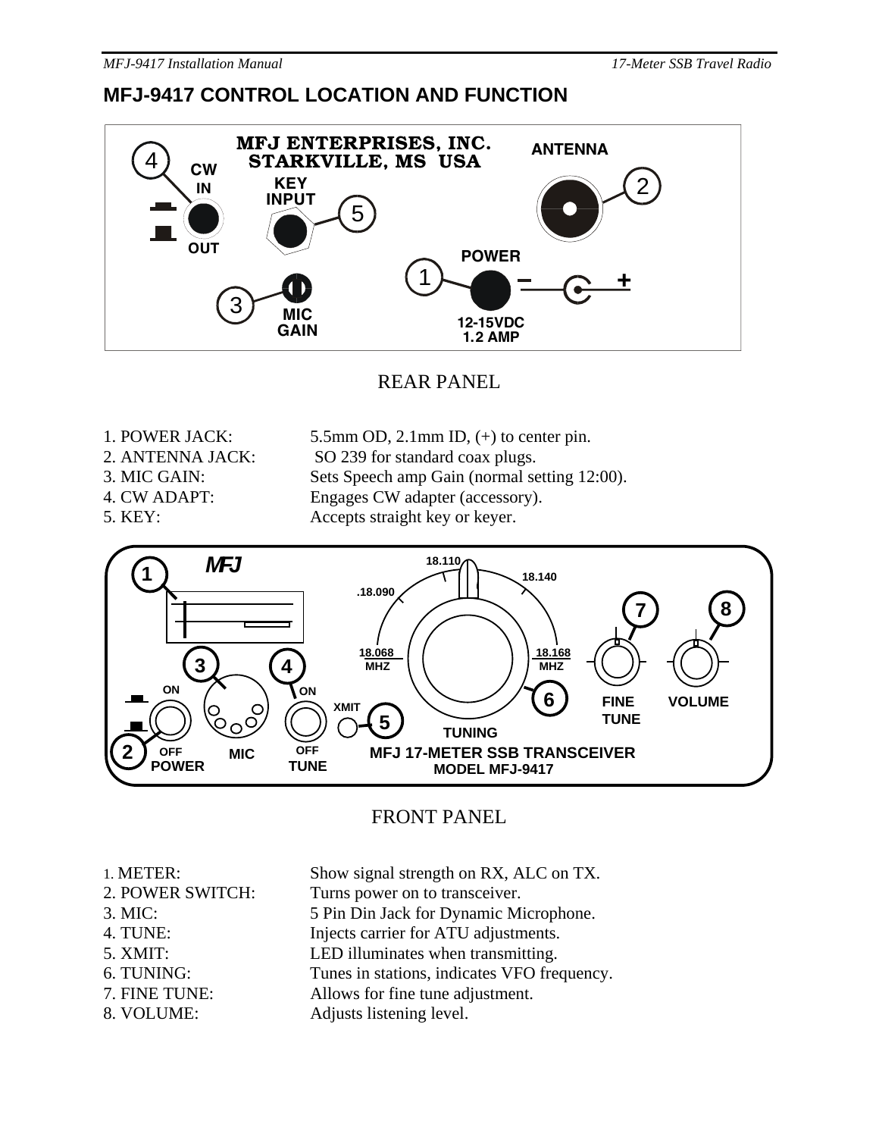### **MFJ-9417 CONTROL LOCATION AND FUNCTION**



REAR PANEL

- 1. POWER JACK: 5.5mm OD, 2.1mm ID, (+) to center pin.
- 
- 2. ANTENNA JACK: SO 239 for standard coax plugs.
- 3. MIC GAIN: Sets Speech amp Gain (normal setting 12:00).
- 
- 
- 4. CW ADAPT: Engages CW adapter (accessory).

5. KEY: Accepts straight key or keyer.



### FRONT PANEL

- 1. METER: Show signal strength on RX, ALC on TX.
- 2. POWER SWITCH: Turns power on to transceiver.
- 
- 
- 
- 
- 
- 
- 3. MIC: 5 Pin Din Jack for Dynamic Microphone. 4. TUNE: Injects carrier for ATU adjustments.
- 5. XMIT: LED illuminates when transmitting.
- 6. TUNING: Tunes in stations, indicates VFO frequency.
- 7. FINE TUNE: Allows for fine tune adjustment.
- 8. VOLUME: Adjusts listening level.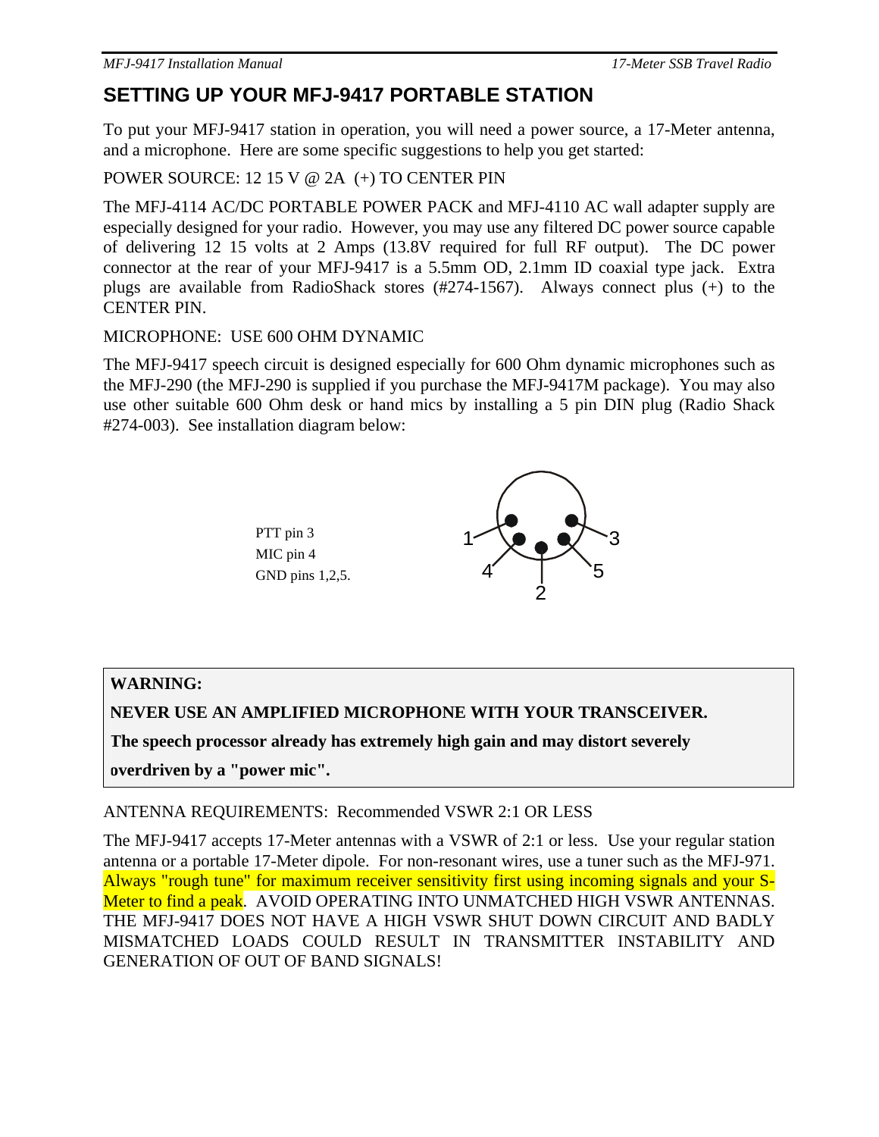### **SETTING UP YOUR MFJ-9417 PORTABLE STATION**

To put your MFJ-9417 station in operation, you will need a power source, a 17-Meter antenna, and a microphone. Here are some specific suggestions to help you get started:

POWER SOURCE: 12 15 V @ 2A (+) TO CENTER PIN

The MFJ-4114 AC/DC PORTABLE POWER PACK and MFJ-4110 AC wall adapter supply are especially designed for your radio. However, you may use any filtered DC power source capable of delivering 12 15 volts at 2 Amps (13.8V required for full RF output). The DC power connector at the rear of your MFJ-9417 is a 5.5mm OD, 2.1mm ID coaxial type jack. Extra plugs are available from RadioShack stores (#274-1567). Always connect plus (+) to the CENTER PIN.

#### MICROPHONE: USE 600 OHM DYNAMIC

The MFJ-9417 speech circuit is designed especially for 600 Ohm dynamic microphones such as the MFJ-290 (the MFJ-290 is supplied if you purchase the MFJ-9417M package). You may also use other suitable 600 Ohm desk or hand mics by installing a 5 pin DIN plug (Radio Shack #274-003). See installation diagram below:



#### **WARNING:**

**NEVER USE AN AMPLIFIED MICROPHONE WITH YOUR TRANSCEIVER.** 

**The speech processor already has extremely high gain and may distort severely** 

**overdriven by a "power mic".** 

#### ANTENNA REQUIREMENTS: Recommended VSWR 2:1 OR LESS

The MFJ-9417 accepts 17-Meter antennas with a VSWR of 2:1 or less. Use your regular station antenna or a portable 17-Meter dipole. For non-resonant wires, use a tuner such as the MFJ-971. Always "rough tune" for maximum receiver sensitivity first using incoming signals and your S-Meter to find a peak. AVOID OPERATING INTO UNMATCHED HIGH VSWR ANTENNAS. THE MFJ-9417 DOES NOT HAVE A HIGH VSWR SHUT DOWN CIRCUIT AND BADLY MISMATCHED LOADS COULD RESULT IN TRANSMITTER INSTABILITY AND GENERATION OF OUT OF BAND SIGNALS!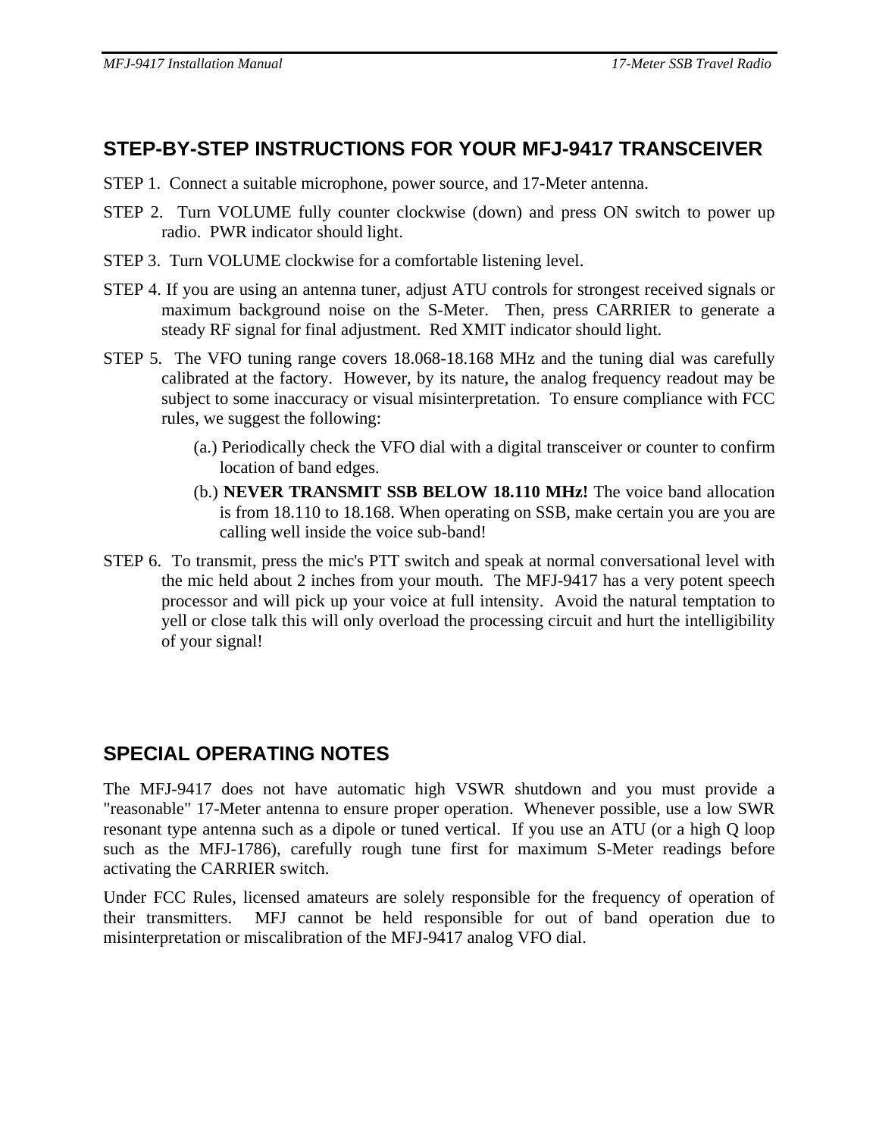### **STEP-BY-STEP INSTRUCTIONS FOR YOUR MFJ-9417 TRANSCEIVER**

- STEP 1. Connect a suitable microphone, power source, and 17-Meter antenna.
- STEP 2. Turn VOLUME fully counter clockwise (down) and press ON switch to power up radio. PWR indicator should light.
- STEP 3. Turn VOLUME clockwise for a comfortable listening level.
- STEP 4. If you are using an antenna tuner, adjust ATU controls for strongest received signals or maximum background noise on the S-Meter. Then, press CARRIER to generate a steady RF signal for final adjustment. Red XMIT indicator should light.
- STEP 5. The VFO tuning range covers 18.068-18.168 MHz and the tuning dial was carefully calibrated at the factory. However, by its nature, the analog frequency readout may be subject to some inaccuracy or visual misinterpretation. To ensure compliance with FCC rules, we suggest the following:
	- (a.) Periodically check the VFO dial with a digital transceiver or counter to confirm location of band edges.
	- (b.) **NEVER TRANSMIT SSB BELOW 18.110 MHz!** The voice band allocation is from 18.110 to 18.168. When operating on SSB, make certain you are you are calling well inside the voice sub-band!
- STEP 6. To transmit, press the mic's PTT switch and speak at normal conversational level with the mic held about 2 inches from your mouth. The MFJ-9417 has a very potent speech processor and will pick up your voice at full intensity. Avoid the natural temptation to yell or close talk this will only overload the processing circuit and hurt the intelligibility of your signal!

### **SPECIAL OPERATING NOTES**

The MFJ-9417 does not have automatic high VSWR shutdown and you must provide a "reasonable" 17-Meter antenna to ensure proper operation. Whenever possible, use a low SWR resonant type antenna such as a dipole or tuned vertical. If you use an ATU (or a high Q loop such as the MFJ-1786), carefully rough tune first for maximum S-Meter readings before activating the CARRIER switch.

Under FCC Rules, licensed amateurs are solely responsible for the frequency of operation of their transmitters. MFJ cannot be held responsible for out of band operation due to misinterpretation or miscalibration of the MFJ-9417 analog VFO dial.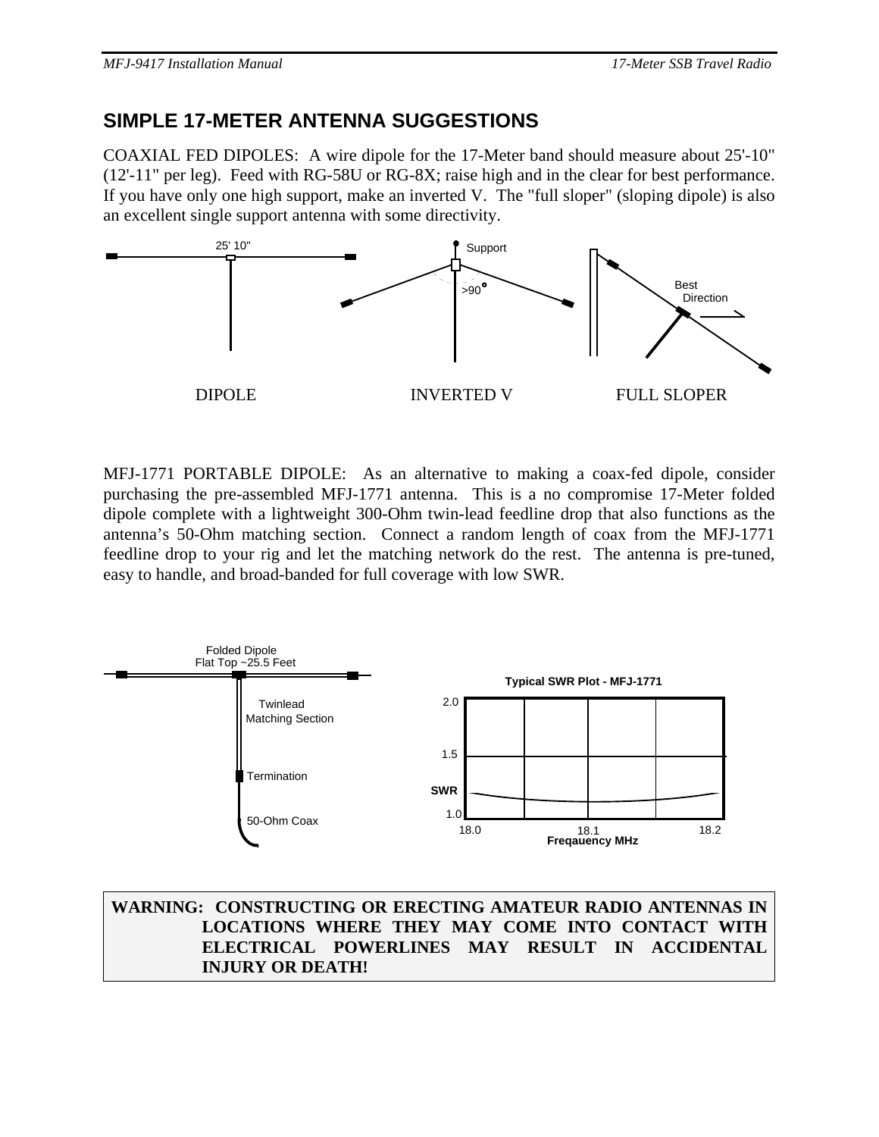### **SIMPLE 17-METER ANTENNA SUGGESTIONS**

COAXIAL FED DIPOLES: A wire dipole for the 17-Meter band should measure about 25'-10" (12'-11" per leg). Feed with RG-58U or RG-8X; raise high and in the clear for best performance. If you have only one high support, make an inverted V. The "full sloper" (sloping dipole) is also an excellent single support antenna with some directivity.



MFJ-1771 PORTABLE DIPOLE: As an alternative to making a coax-fed dipole, consider purchasing the pre-assembled MFJ-1771 antenna. This is a no compromise 17-Meter folded dipole complete with a lightweight 300-Ohm twin-lead feedline drop that also functions as the antenna's 50-Ohm matching section. Connect a random length of coax from the MFJ-1771 feedline drop to your rig and let the matching network do the rest. The antenna is pre-tuned, easy to handle, and broad-banded for full coverage with low SWR.



**WARNING: CONSTRUCTING OR ERECTING AMATEUR RADIO ANTENNAS IN LOCATIONS WHERE THEY MAY COME INTO CONTACT WITH ELECTRICAL POWERLINES MAY RESULT IN ACCIDENTAL INJURY OR DEATH!**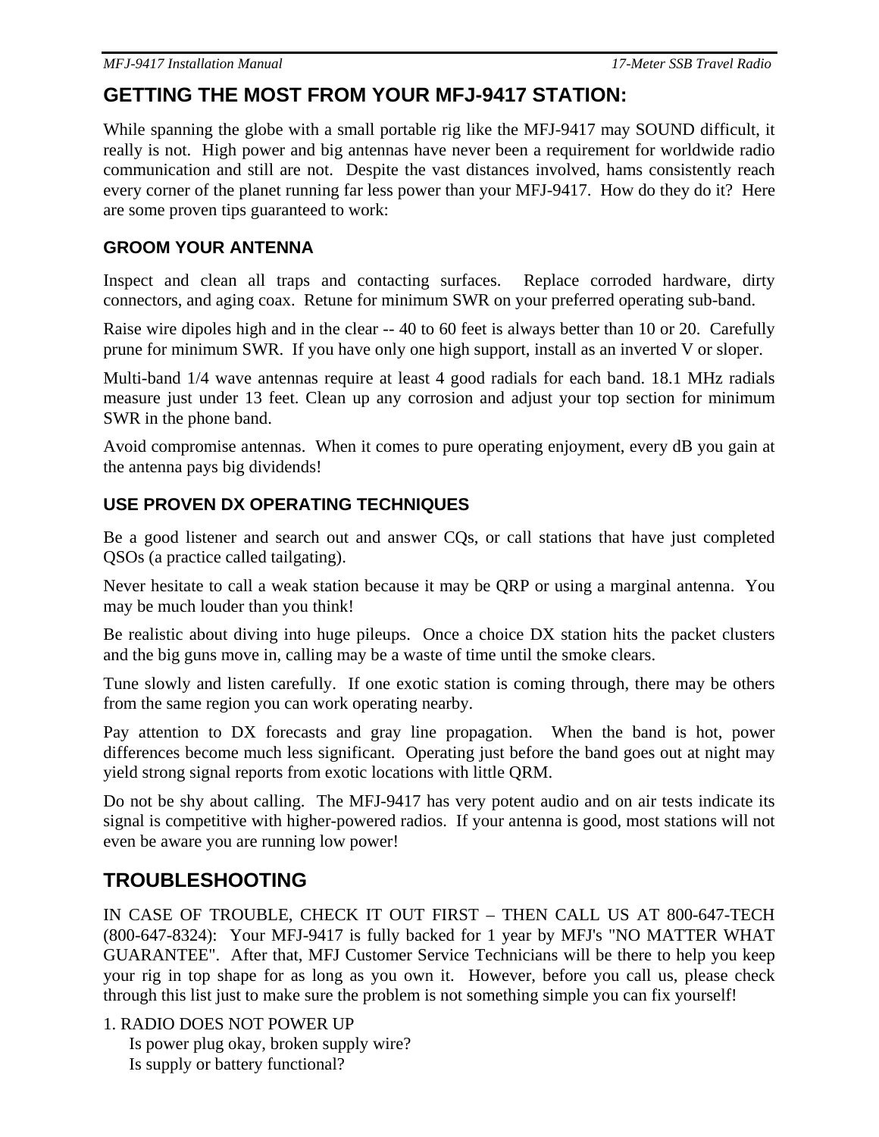### **GETTING THE MOST FROM YOUR MFJ-9417 STATION:**

While spanning the globe with a small portable rig like the MFJ-9417 may SOUND difficult, it really is not. High power and big antennas have never been a requirement for worldwide radio communication and still are not. Despite the vast distances involved, hams consistently reach every corner of the planet running far less power than your MFJ-9417. How do they do it? Here are some proven tips guaranteed to work:

#### **GROOM YOUR ANTENNA**

Inspect and clean all traps and contacting surfaces. Replace corroded hardware, dirty connectors, and aging coax. Retune for minimum SWR on your preferred operating sub-band.

Raise wire dipoles high and in the clear -- 40 to 60 feet is always better than 10 or 20. Carefully prune for minimum SWR. If you have only one high support, install as an inverted V or sloper.

Multi-band 1/4 wave antennas require at least 4 good radials for each band. 18.1 MHz radials measure just under 13 feet. Clean up any corrosion and adjust your top section for minimum SWR in the phone band.

Avoid compromise antennas. When it comes to pure operating enjoyment, every dB you gain at the antenna pays big dividends!

### **USE PROVEN DX OPERATING TECHNIQUES**

Be a good listener and search out and answer CQs, or call stations that have just completed QSOs (a practice called tailgating).

Never hesitate to call a weak station because it may be QRP or using a marginal antenna. You may be much louder than you think!

Be realistic about diving into huge pileups. Once a choice DX station hits the packet clusters and the big guns move in, calling may be a waste of time until the smoke clears.

Tune slowly and listen carefully. If one exotic station is coming through, there may be others from the same region you can work operating nearby.

Pay attention to DX forecasts and gray line propagation. When the band is hot, power differences become much less significant. Operating just before the band goes out at night may yield strong signal reports from exotic locations with little QRM.

Do not be shy about calling. The MFJ-9417 has very potent audio and on air tests indicate its signal is competitive with higher-powered radios. If your antenna is good, most stations will not even be aware you are running low power!

### **TROUBLESHOOTING**

IN CASE OF TROUBLE, CHECK IT OUT FIRST – THEN CALL US AT 800-647-TECH (800-647-8324): Your MFJ-9417 is fully backed for 1 year by MFJ's "NO MATTER WHAT GUARANTEE". After that, MFJ Customer Service Technicians will be there to help you keep your rig in top shape for as long as you own it. However, before you call us, please check through this list just to make sure the problem is not something simple you can fix yourself!

1. RADIO DOES NOT POWER UP

Is power plug okay, broken supply wire? Is supply or battery functional?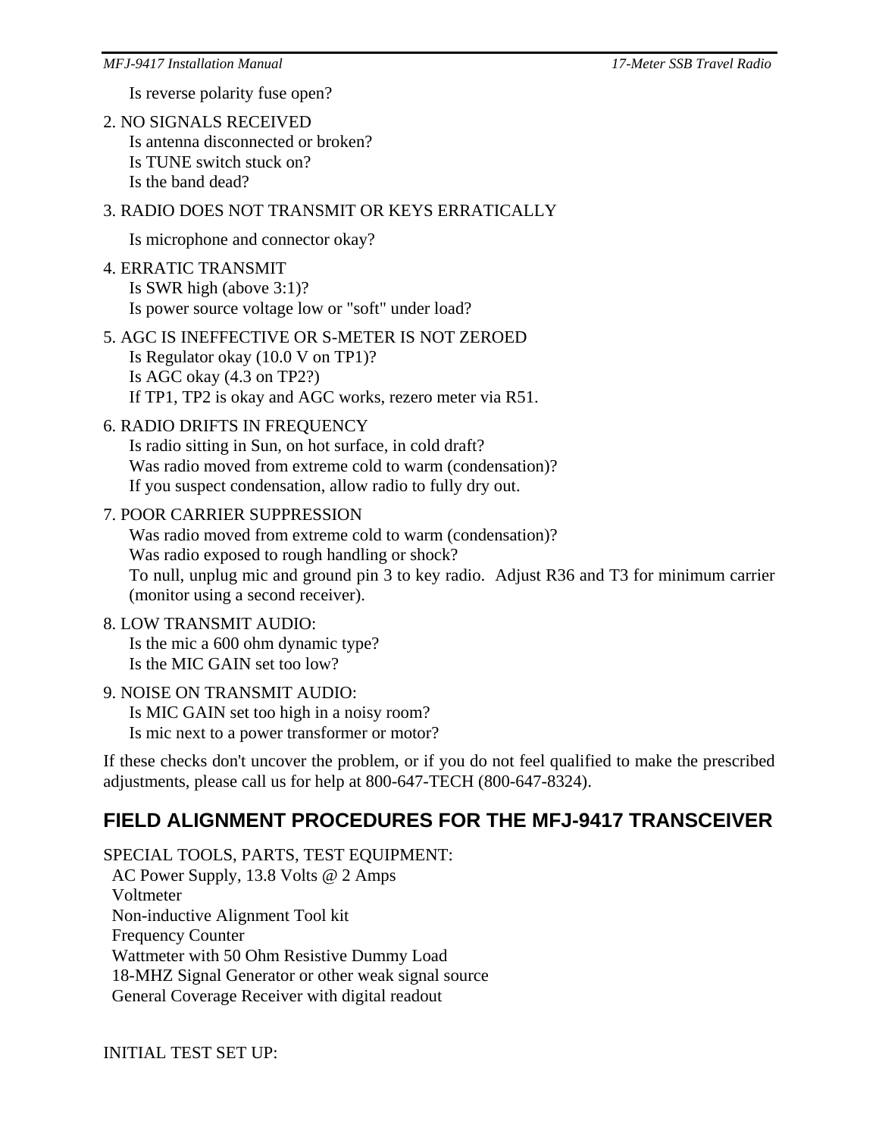Is reverse polarity fuse open?

2. NO SIGNALS RECEIVED Is antenna disconnected or broken? Is TUNE switch stuck on? Is the band dead?

#### 3. RADIO DOES NOT TRANSMIT OR KEYS ERRATICALLY

Is microphone and connector okay?

- 4. ERRATIC TRANSMIT Is SWR high (above 3:1)? Is power source voltage low or "soft" under load?
- 5. AGC IS INEFFECTIVE OR S-METER IS NOT ZEROED Is Regulator okay (10.0 V on TP1)? Is AGC okay (4.3 on TP2?) If TP1, TP2 is okay and AGC works, rezero meter via R51.

#### 6. RADIO DRIFTS IN FREQUENCY

Is radio sitting in Sun, on hot surface, in cold draft? Was radio moved from extreme cold to warm (condensation)? If you suspect condensation, allow radio to fully dry out.

#### 7. POOR CARRIER SUPPRESSION

Was radio moved from extreme cold to warm (condensation)? Was radio exposed to rough handling or shock? To null, unplug mic and ground pin 3 to key radio. Adjust R36 and T3 for minimum carrier (monitor using a second receiver).

#### 8. LOW TRANSMIT AUDIO: Is the mic a 600 ohm dynamic type?

Is the MIC GAIN set too low?

#### 9. NOISE ON TRANSMIT AUDIO:

Is MIC GAIN set too high in a noisy room? Is mic next to a power transformer or motor?

If these checks don't uncover the problem, or if you do not feel qualified to make the prescribed adjustments, please call us for help at 800-647-TECH (800-647-8324).

### **FIELD ALIGNMENT PROCEDURES FOR THE MFJ-9417 TRANSCEIVER**

SPECIAL TOOLS, PARTS, TEST EQUIPMENT: AC Power Supply, 13.8 Volts @ 2 Amps Voltmeter Non-inductive Alignment Tool kit Frequency Counter Wattmeter with 50 Ohm Resistive Dummy Load 18-MHZ Signal Generator or other weak signal source General Coverage Receiver with digital readout

INITIAL TEST SET UP: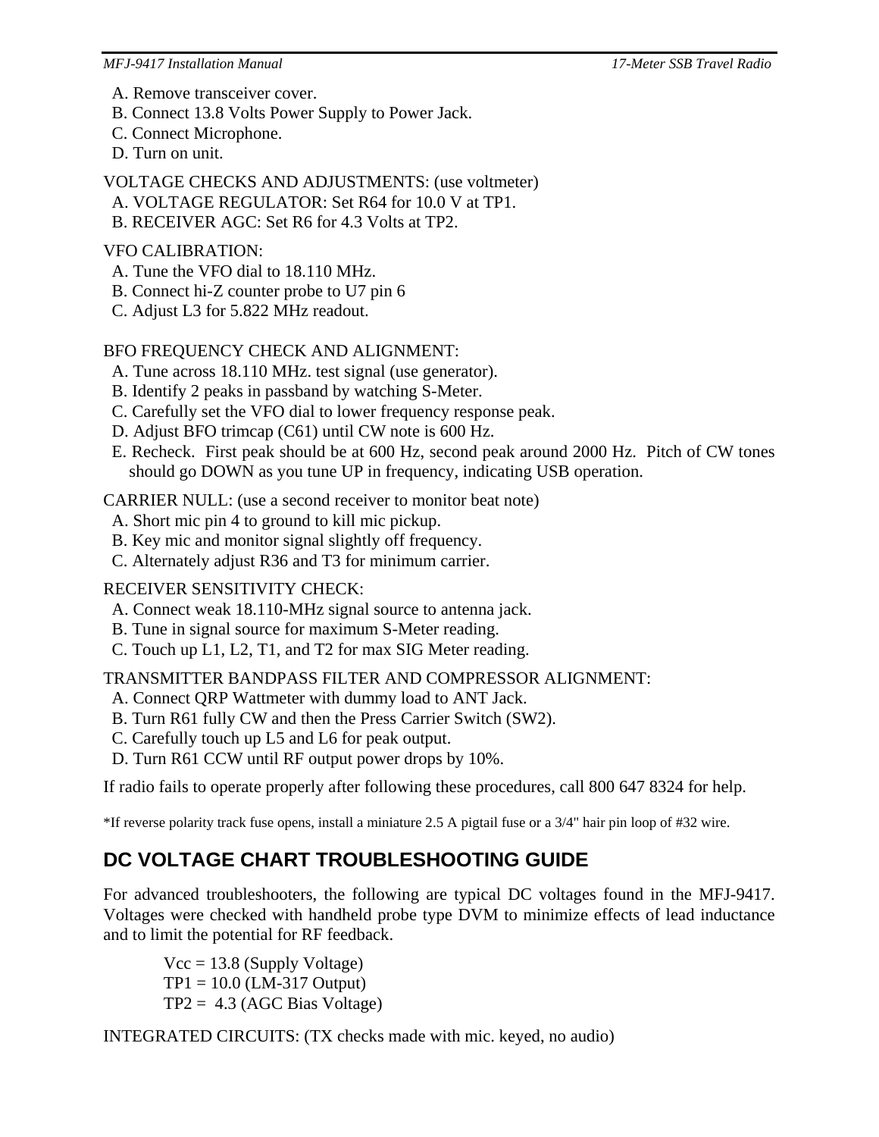*MFJ-9417 Installation Manual 17-Meter SSB Travel Radio*

- A. Remove transceiver cover.
- B. Connect 13.8 Volts Power Supply to Power Jack.
- C. Connect Microphone.
- D. Turn on unit.

VOLTAGE CHECKS AND ADJUSTMENTS: (use voltmeter)

- A. VOLTAGE REGULATOR: Set R64 for 10.0 V at TP1.
- B. RECEIVER AGC: Set R6 for 4.3 Volts at TP2.

#### VFO CALIBRATION:

- A. Tune the VFO dial to 18.110 MHz.
- B. Connect hi-Z counter probe to U7 pin 6
- C. Adjust L3 for 5.822 MHz readout.

### BFO FREQUENCY CHECK AND ALIGNMENT:

- A. Tune across 18.110 MHz. test signal (use generator).
- B. Identify 2 peaks in passband by watching S-Meter.
- C. Carefully set the VFO dial to lower frequency response peak.
- D. Adjust BFO trimcap (C61) until CW note is 600 Hz.
- E. Recheck. First peak should be at 600 Hz, second peak around 2000 Hz. Pitch of CW tones should go DOWN as you tune UP in frequency, indicating USB operation.

CARRIER NULL: (use a second receiver to monitor beat note)

- A. Short mic pin 4 to ground to kill mic pickup.
- B. Key mic and monitor signal slightly off frequency.
- C. Alternately adjust R36 and T3 for minimum carrier.

### RECEIVER SENSITIVITY CHECK:

- A. Connect weak 18.110-MHz signal source to antenna jack.
- B. Tune in signal source for maximum S-Meter reading.
- C. Touch up L1, L2, T1, and T2 for max SIG Meter reading.

### TRANSMITTER BANDPASS FILTER AND COMPRESSOR ALIGNMENT:

- A. Connect QRP Wattmeter with dummy load to ANT Jack.
- B. Turn R61 fully CW and then the Press Carrier Switch (SW2).
- C. Carefully touch up L5 and L6 for peak output.
- D. Turn R61 CCW until RF output power drops by 10%.

If radio fails to operate properly after following these procedures, call 800 647 8324 for help.

\*If reverse polarity track fuse opens, install a miniature 2.5 A pigtail fuse or a 3/4" hair pin loop of #32 wire.

### **DC VOLTAGE CHART TROUBLESHOOTING GUIDE**

For advanced troubleshooters, the following are typical DC voltages found in the MFJ-9417. Voltages were checked with handheld probe type DVM to minimize effects of lead inductance and to limit the potential for RF feedback.

 $Vcc = 13.8$  (Supply Voltage)  $TP1 = 10.0$  (LM-317 Output)  $TP2 = 4.3$  (AGC Bias Voltage)

INTEGRATED CIRCUITS: (TX checks made with mic. keyed, no audio)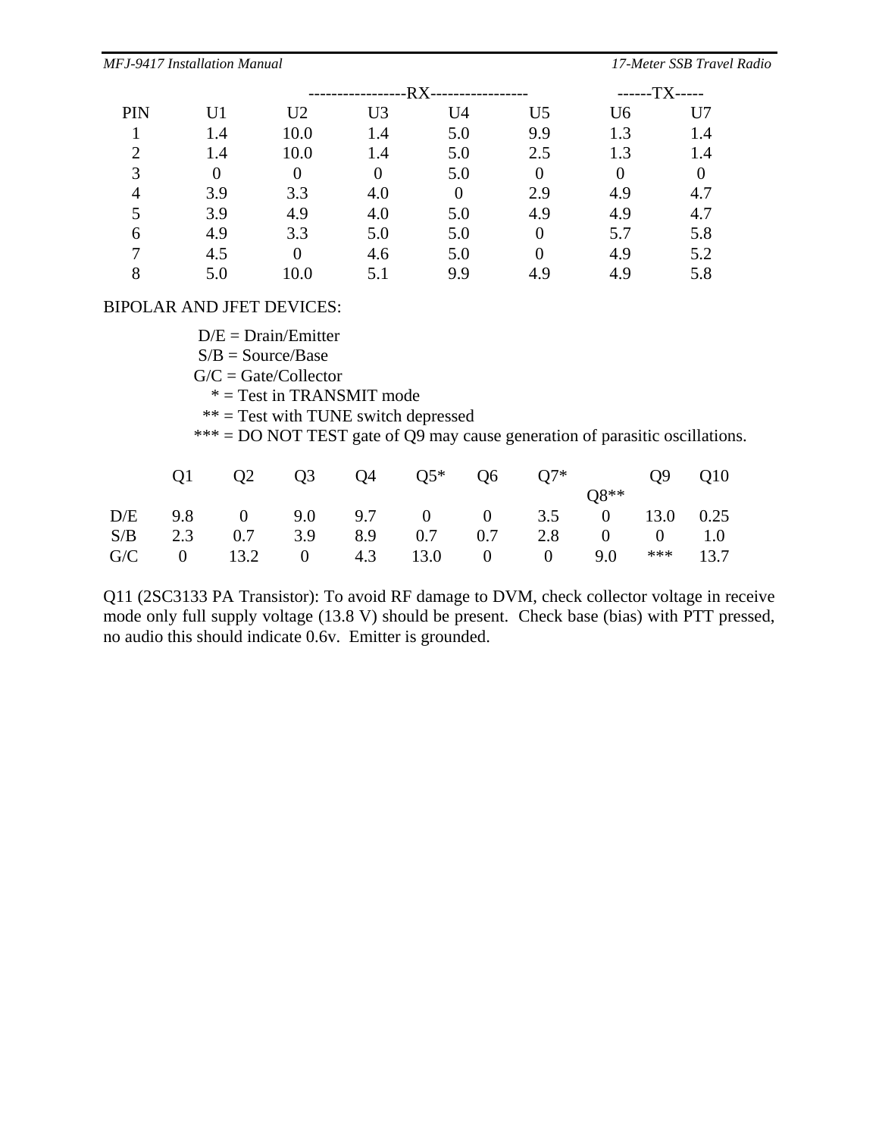|     |                | -RX-<br>--------------- |                |                |                | ------TX----- |                |
|-----|----------------|-------------------------|----------------|----------------|----------------|---------------|----------------|
| PIN | U1             | U <sub>2</sub>          | U <sub>3</sub> | U <sub>4</sub> | U <sub>5</sub> | U6            | U7             |
|     | 1.4            | 10.0                    | 1.4            | 5.0            | 9.9            | 1.3           | 1.4            |
|     | 1.4            | 10.0                    | 1.4            | 5.0            | 2.5            | 1.3           | 1.4            |
| 3   | $\overline{0}$ | $\overline{0}$          |                | 5.0            | $\overline{0}$ | $\theta$      | $\overline{0}$ |
| 4   | 3.9            | 3.3                     | 4.0            | $\overline{0}$ | 2.9            | 4.9           | 4.7            |
|     | 3.9            | 4.9                     | 4.0            | 5.0            | 4.9            | 4.9           | 4.7            |
| 6   | 4.9            | 3.3                     | 5.0            | 5.0            |                | 5.7           | 5.8            |
|     | 4.5            |                         | 4.6            | 5.0            |                | 4.9           | 5.2            |
|     | 5.0            | 10.0                    |                | 9.9            | 4.9            | 4.9           | 5.8            |

#### BIPOLAR AND JFET DEVICES:

 $D/E = Drain/Emitter$ 

 $S/B = Source/Base$ 

- $G/C = Gate/Collectron$
- \* = Test in TRANSMIT mode
- $**$  = Test with TUNE switch depressed

\*\*\* = DO NOT TEST gate of  $Q<sup>9</sup>$  may cause generation of parasitic oscillations.

|  |  |  | $08**$ |                                                                                                                                                               |
|--|--|--|--------|---------------------------------------------------------------------------------------------------------------------------------------------------------------|
|  |  |  |        |                                                                                                                                                               |
|  |  |  |        |                                                                                                                                                               |
|  |  |  |        |                                                                                                                                                               |
|  |  |  |        | Q1 Q2 Q3 Q4 Q5* Q6 Q7* Q9 Q10<br>D/E 9.8 0 9.0 9.7 0 0 3.5 0 13.0 0.25<br>S/B 2.3 0.7 3.9 8.9 0.7 0.7 2.8 0 0 1.0<br>$G/C$ 0 13.2 0 4.3 13.0 0 0 9.0 *** 13.7 |

Q11 (2SC3133 PA Transistor): To avoid RF damage to DVM, check collector voltage in receive mode only full supply voltage (13.8 V) should be present. Check base (bias) with PTT pressed, no audio this should indicate 0.6v. Emitter is grounded.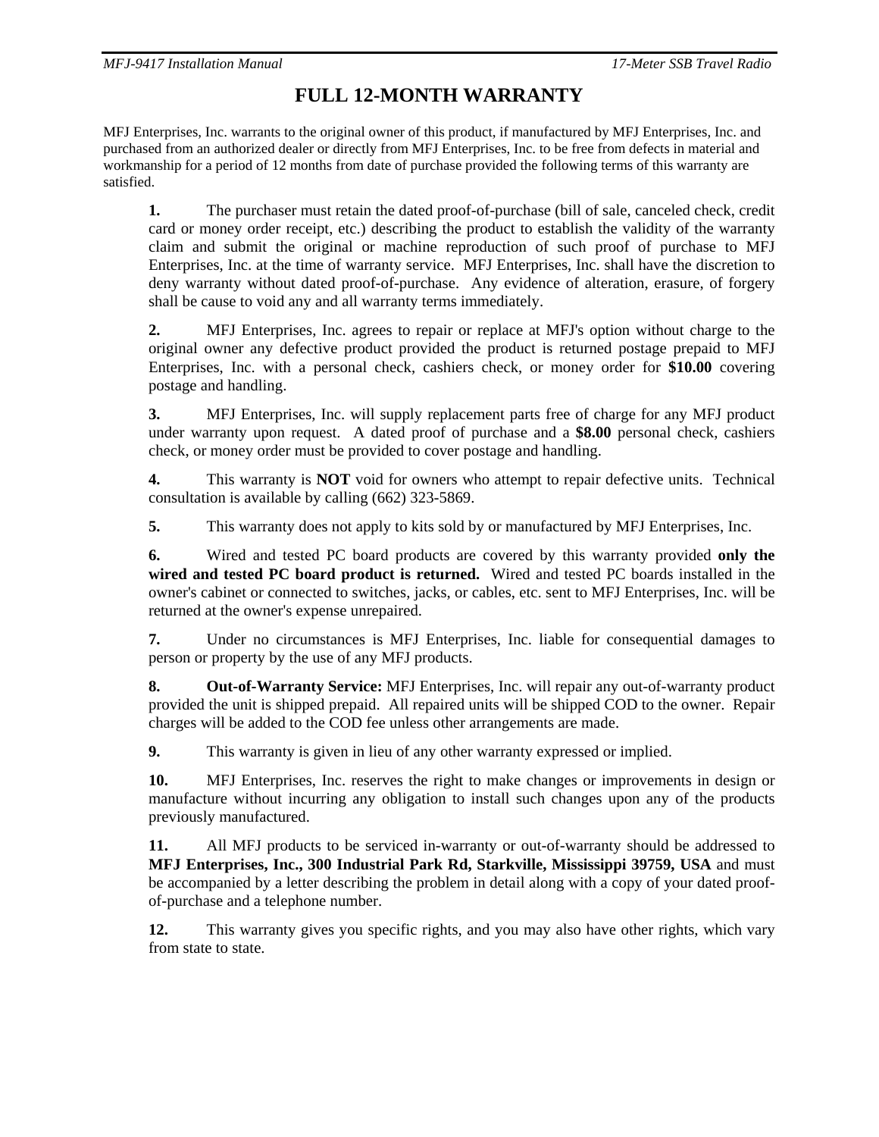### **FULL 12-MONTH WARRANTY**

MFJ Enterprises, Inc. warrants to the original owner of this product, if manufactured by MFJ Enterprises, Inc. and purchased from an authorized dealer or directly from MFJ Enterprises, Inc. to be free from defects in material and workmanship for a period of 12 months from date of purchase provided the following terms of this warranty are satisfied.

**1.** The purchaser must retain the dated proof-of-purchase (bill of sale, canceled check, credit card or money order receipt, etc.) describing the product to establish the validity of the warranty claim and submit the original or machine reproduction of such proof of purchase to MFJ Enterprises, Inc. at the time of warranty service. MFJ Enterprises, Inc. shall have the discretion to deny warranty without dated proof-of-purchase. Any evidence of alteration, erasure, of forgery shall be cause to void any and all warranty terms immediately.

**2.** MFJ Enterprises, Inc. agrees to repair or replace at MFJ's option without charge to the original owner any defective product provided the product is returned postage prepaid to MFJ Enterprises, Inc. with a personal check, cashiers check, or money order for **\$10.00** covering postage and handling.

**3.** MFJ Enterprises, Inc. will supply replacement parts free of charge for any MFJ product under warranty upon request. A dated proof of purchase and a **\$8.00** personal check, cashiers check, or money order must be provided to cover postage and handling.

**4.** This warranty is **NOT** void for owners who attempt to repair defective units. Technical consultation is available by calling (662) 323-5869.

**5.** This warranty does not apply to kits sold by or manufactured by MFJ Enterprises, Inc.

**6.** Wired and tested PC board products are covered by this warranty provided **only the wired and tested PC board product is returned.** Wired and tested PC boards installed in the owner's cabinet or connected to switches, jacks, or cables, etc. sent to MFJ Enterprises, Inc. will be returned at the owner's expense unrepaired.

**7.** Under no circumstances is MFJ Enterprises, Inc. liable for consequential damages to person or property by the use of any MFJ products.

**8. Out-of-Warranty Service:** MFJ Enterprises, Inc. will repair any out-of-warranty product provided the unit is shipped prepaid. All repaired units will be shipped COD to the owner. Repair charges will be added to the COD fee unless other arrangements are made.

**9.** This warranty is given in lieu of any other warranty expressed or implied.

**10.** MFJ Enterprises, Inc. reserves the right to make changes or improvements in design or manufacture without incurring any obligation to install such changes upon any of the products previously manufactured.

**11.** All MFJ products to be serviced in-warranty or out-of-warranty should be addressed to **MFJ Enterprises, Inc., 300 Industrial Park Rd, Starkville, Mississippi 39759, USA** and must be accompanied by a letter describing the problem in detail along with a copy of your dated proofof-purchase and a telephone number.

**12.** This warranty gives you specific rights, and you may also have other rights, which vary from state to state.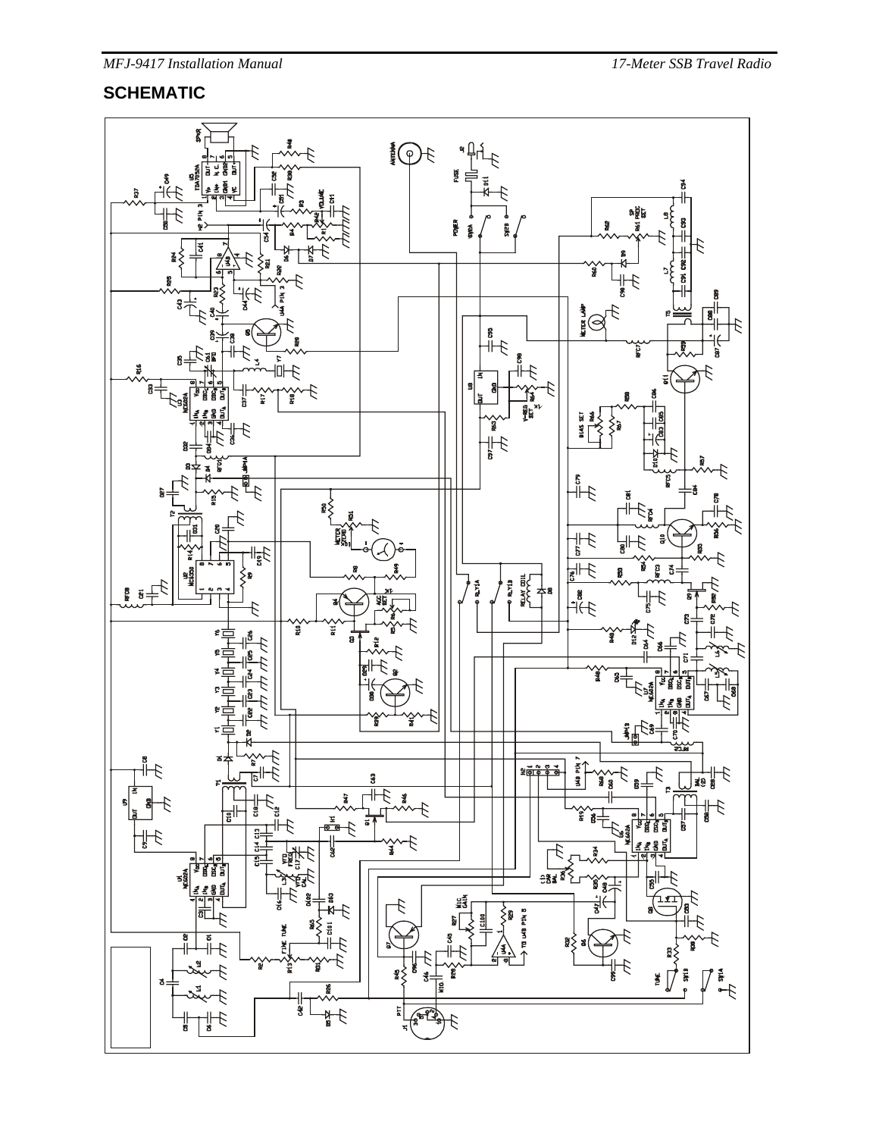#### **SCHEMATIC**